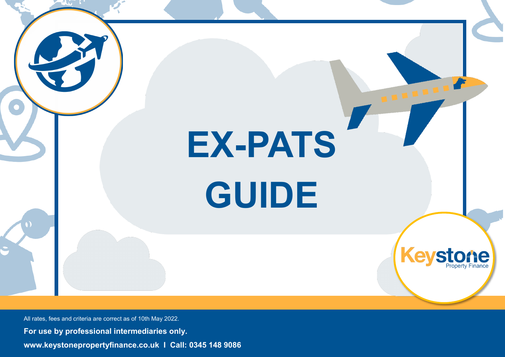

All rates, fees and criteria are correct as of 10th May 2022. **For use by professional intermediaries only. www.keystonepropertyfinance.co.uk I Call: 0345 148 9086**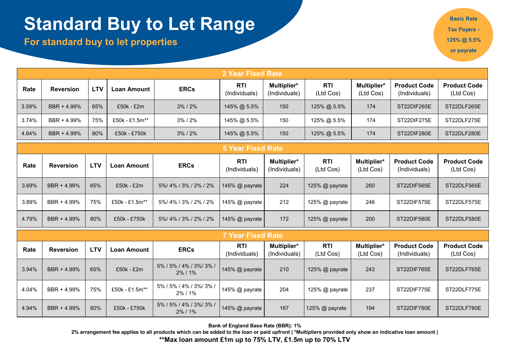# **Standard Buy to Let Range**

**For standard buy to let properties** 

**Basic Rate Tax Payers - 125% @ 5.5% or payrate**

|                                                                                                                                  | 2 Year Fixed Rate |            |                    |                |                             |                              |                         |                          |                                      |                                  |  |  |
|----------------------------------------------------------------------------------------------------------------------------------|-------------------|------------|--------------------|----------------|-----------------------------|------------------------------|-------------------------|--------------------------|--------------------------------------|----------------------------------|--|--|
| Rate                                                                                                                             | <b>Reversion</b>  | <b>LTV</b> | <b>Loan Amount</b> | <b>ERCs</b>    | <b>RTI</b><br>(Individuals) | Multiplier*<br>(Individuals) | <b>RTI</b><br>(Ltd Cos) | Multiplier*<br>(Ltd Cos) | <b>Product Code</b><br>(Individuals) | <b>Product Code</b><br>(Ltd Cos) |  |  |
| 3.59%                                                                                                                            | BBR + 4.99%       | 65%        | £50k - £2m         | $3\%$ / $2\%$  | 145% @ 5.5%                 | 150                          | 125% @ 5.5%             | 174                      | ST22DIF265E                          | ST22DLF265E                      |  |  |
| 3.74%                                                                                                                            | BBR + 4.99%       | 75%        | £50k - £1.5m**     | $3\%$ / $2\%$  | 145% @ 5.5%                 | 150                          | 125% @ 5.5%             | 174                      | ST22DIF275E                          | ST22DLF275E                      |  |  |
| 80%<br>4.64%<br>BBR + 4.99%<br>£50k - £750k<br>145% @ 5.5%<br>150<br>125% @ 5.5%<br>$3\%$ / $2\%$                                |                   |            |                    |                |                             |                              |                         |                          | ST22DIF280E                          | ST22DLF280E                      |  |  |
| <b>5 Year Fixed Rate</b>                                                                                                         |                   |            |                    |                |                             |                              |                         |                          |                                      |                                  |  |  |
| Rate                                                                                                                             | <b>Reversion</b>  | <b>LTV</b> | <b>Loan Amount</b> | <b>ERCs</b>    | <b>RTI</b><br>(Individuals) | Multiplier*<br>(Individuals) | <b>RTI</b><br>(Ltd Cos) | Multiplier*<br>(Ltd Cos) | <b>Product Code</b><br>(Individuals) | <b>Product Code</b><br>(Ltd Cos) |  |  |
| 3.69%                                                                                                                            | BBR + 4.99%       | 65%        | $£50k - £2m$       | 5%/4%/3%/2%/2% | 145% @ payrate              | 224                          | 125% @ payrate          | 260                      | ST22DIF565E                          | ST22DLF565E                      |  |  |
| 75%<br>3.89%<br>BBR + 4.99%<br>£50k - £1.5m**<br>5%/4%/3%/2%/2%<br>212<br>246<br>145% @ payrate<br>125% @ payrate<br>ST22DIF575E |                   |            |                    |                |                             |                              |                         |                          | ST22DLF575E                          |                                  |  |  |
| 4.79%                                                                                                                            | BBR + 4.99%       | 80%        | £50k - £750k       | 5%/4%/3%/2%/2% | 145% @ payrate              | 172                          | 125% @ payrate          | 200                      | ST22DIF580E                          | ST22DLF580E                      |  |  |
| <b>7 Year Fixed Rate</b>                                                                                                         |                   |            |                    |                |                             |                              |                         |                          |                                      |                                  |  |  |

|       | r Year Fixed Ratel |            |                |                                        |                      |                              |                         |                          |                                      |                                  |  |  |
|-------|--------------------|------------|----------------|----------------------------------------|----------------------|------------------------------|-------------------------|--------------------------|--------------------------------------|----------------------------------|--|--|
| Rate  | <b>Reversion</b>   | <b>LTV</b> | Loan Amount    | <b>ERCs</b>                            | RTI<br>(Individuals) | Multiplier*<br>(Individuals) | <b>RTI</b><br>(Ltd Cos) | Multiplier*<br>(Ltd Cos) | <b>Product Code</b><br>(Individuals) | <b>Product Code</b><br>(Ltd Cos) |  |  |
| 3.94% | BBR + 4.99%        | 65%        | $£50k - £2m$   | 5% / 5% / 4% / 3% / 3% /<br>$2\%$ / 1% | 145% @ payrate       | 210                          | 125% @ payrate          | 243                      | ST22DIF765E                          | ST22DLF765E                      |  |  |
| 4.04% | BBR + 4.99%        | 75%        | £50k - £1.5m** | 5% / 5% / 4% / 3% / 3% /<br>2% / 1%    | 145% @ payrate       | 204                          | 125% @ payrate          | 237                      | ST22DIF775E                          | ST22DLF775E                      |  |  |
| 4.94% | BBR + 4.99%        | 80%        | £50k - £750k   | 5% / 5% / 4% / 3% / 3% /<br>$2\%$ / 1% | 145% @ payrate       | 167                          | 125% @ payrate          | 194                      | ST22DIF780E                          | ST22DLF780E                      |  |  |

**Bank of England Base Rate (BBR): 1%** 

**2% arrangement fee applies to all products which can be added to the loan or paid upfront | \*Multipliers provided only show an indicative loan amount |** 

**\*\*Max loan amount £1m up to 75% LTV, £1.5m up to 70% LTV**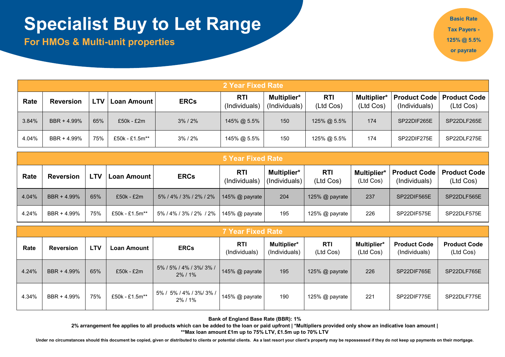# **Specialist Buy to Let Range**

**For HMOs & Multi-unit properties** 

**Basic Rate Tax Payers - 125% @ 5.5% or payrate**

|       | 2 Year Fixed Rate |     |                |               |                             |                              |                         |                          |                                      |                                  |  |
|-------|-------------------|-----|----------------|---------------|-----------------------------|------------------------------|-------------------------|--------------------------|--------------------------------------|----------------------------------|--|
| Rate  | <b>Reversion</b>  | LTV | Loan Amount I  | <b>ERCs</b>   | <b>RTI</b><br>(Individuals) | Multiplier*<br>(Individuals) | <b>RTI</b><br>(Ltd Cos) | Multiplier*<br>(Ltd Cos) | <b>Product Code</b><br>(Individuals) | <b>Product Code</b><br>(Ltd Cos) |  |
| 3.84% | BBR + 4.99%       | 65% | $£50k - £2m$   | $3\%$ / $2\%$ | 145% @ 5.5%                 | 150                          | 125% @ 5.5%             | 174                      | SP22DIF265E                          | SP22DLF265E                      |  |
| 4.04% | BBR + 4.99%       | 75% | £50k - £1.5m** | 3% / 2%       | 145% @ 5.5%                 | 150                          | 125% @ 5.5%             | 174                      | SP22DIF275E                          | SP22DLF275E                      |  |

|       | <b>5 Year Fixed Rate</b>                                            |     |                |                        |                             |                              |                         |                                 |                                      |                                  |  |  |
|-------|---------------------------------------------------------------------|-----|----------------|------------------------|-----------------------------|------------------------------|-------------------------|---------------------------------|--------------------------------------|----------------------------------|--|--|
| Rate  | <b>ERCs</b><br><b>LTV</b><br><b>Loan Amount</b><br><b>Reversion</b> |     |                |                        | <b>RTI</b><br>(Individuals) | Multiplier*<br>(Individuals) | <b>RTI</b><br>(Ltd Cos) | <b>Multiplier*</b><br>(Ltd Cos) | <b>Product Code</b><br>(Individuals) | <b>Product Code</b><br>(Ltd Cos) |  |  |
| 4.04% | BBR + 4.99%                                                         | 65% | £50k - £2m     | 5% / 4% / 3% / 2% / 2% | 145% $@$ payrate            | 204                          | 125% $@$ payrate        | 237                             | SP22DIF565E                          | SP22DLF565E                      |  |  |
| 4.24% | BBR + 4.99%                                                         | 75% | £50k - £1.5m** | 5% / 4% / 3% / 2% / 2% | 145% $@$ payrate            | 195                          | 125% $@$ payrate        | 226                             | SP22DIF575E                          | SP22DLF575E                      |  |  |

|       | <b>7 Year Fixed Rate</b>                                     |     |                             |                                        |                  |                          |                                      |                                  |             |             |  |
|-------|--------------------------------------------------------------|-----|-----------------------------|----------------------------------------|------------------|--------------------------|--------------------------------------|----------------------------------|-------------|-------------|--|
| Rate  | <b>LTV</b><br><b>ERCs</b><br><b>Reversion</b><br>Loan Amount |     | <b>RTI</b><br>(Individuals) | Multiplier*<br>(Individuals)           | RTI<br>(Ltd Cos) | Multiplier*<br>(Ltd Cos) | <b>Product Code</b><br>(Individuals) | <b>Product Code</b><br>(Ltd Cos) |             |             |  |
| 4.24% | BBR + 4.99%                                                  | 65% | £50k - £2m                  | 5% / 5% / 4% / 3% / 3% /<br>$2\%$ / 1% | 145% @ payrate   | 195                      | 125% @ payrate                       | 226                              | SP22DIF765E | SP22DLF765E |  |
| 4.34% | BBR + 4.99%                                                  | 75% | £50k - £1.5m**              | 5% / 5% / 4% / 3% / 3% /<br>2% / 1%    | 145% @ payrate   | 190                      | 125% @ payrate                       | 221                              | SP22DIF775E | SP22DLF775E |  |

**Bank of England Base Rate (BBR): 1%** 

**2% arrangement fee applies to all products which can be added to the loan or paid upfront | \*Multipliers provided only show an indicative loan amount | \*\*Max loan amount £1m up to 75% LTV, £1.5m up to 70% LTV** 

Under no circumstances should this document be copied, given or distributed to clients or potential clients. As a last resort your client's property may be repossessed if they do not keep up payments on their mortgage.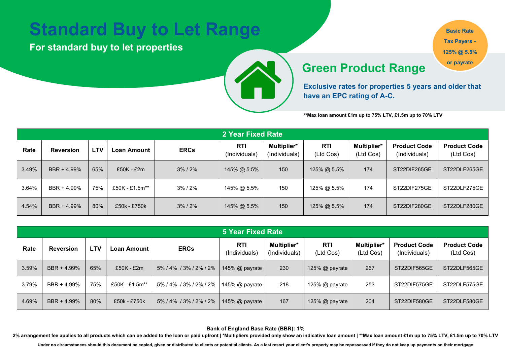### **Standard Buy to Let Range**

**For standard buy to let properties** 



**Basic Rate Tax Payers - 125% @ 5.5% or payrate**

#### **Green Product Range**

**Exclusive rates for properties 5 years and older that have an EPC rating of A-C.**

**\*\*Max loan amount £1m up to 75% LTV, £1.5m up to 70% LTV** 

|                                        | 2 Year Fixed Rate |     |                |               |                      |                              |                  |                          |                                      |                                  |  |  |
|----------------------------------------|-------------------|-----|----------------|---------------|----------------------|------------------------------|------------------|--------------------------|--------------------------------------|----------------------------------|--|--|
| Rate<br><b>LTV</b><br><b>Reversion</b> |                   |     | Loan Amount    | <b>ERCs</b>   | RTI<br>(Individuals) | Multiplier*<br>(Individuals) | RTI<br>(Ltd Cos) | Multiplier*<br>(Ltd Cos) | <b>Product Code</b><br>(Individuals) | <b>Product Code</b><br>(Ltd Cos) |  |  |
| 3.49%                                  | BBR + 4.99%       | 65% | $£50K - £2m$   | $3\%$ / $2\%$ | 145% @ 5.5%          | 150                          | 125% @ 5.5%      | 174                      | ST22DIF265GE                         | ST22DLF265GE                     |  |  |
| 3.64%                                  | BBR + 4.99%       | 75% | £50K - £1.5m** | 3%/2%         | 145% @ 5.5%          | 150                          | 125% @ 5.5%      | 174                      | ST22DIF275GE                         | ST22DLF275GE                     |  |  |
| 4.54%                                  | BBR + 4.99%       | 80% | £50k - £750k   | $3\%$ / $2\%$ | 145% @ 5.5%          | 150                          | 125% @ 5.5%      | 174                      | ST22DIF280GE                         | ST22DLF280GE                     |  |  |

|       | <b>5 Year Fixed Rate</b>                                     |     |                |                             |                              |                  |                          |                                      |                                  |              |  |
|-------|--------------------------------------------------------------|-----|----------------|-----------------------------|------------------------------|------------------|--------------------------|--------------------------------------|----------------------------------|--------------|--|
| Rate  | <b>LTV</b><br><b>ERCs</b><br><b>Reversion</b><br>Loan Amount |     |                | <b>RTI</b><br>(Individuals) | Multiplier*<br>(Individuals) | RTI<br>(Ltd Cos) | Multiplier*<br>(Ltd Cos) | <b>Product Code</b><br>(Individuals) | <b>Product Code</b><br>(Ltd Cos) |              |  |
| 3.59% | BBR + 4.99%                                                  | 65% | £50K - £2m     | 5%/4%/3%/2%/2%              | 145% $\omega$ payrate        | 230              | 125% @ payrate           | 267                                  | ST22DIF565GE                     | ST22DLF565GE |  |
| 3.79% | BBR + 4.99%                                                  | 75% | £50K - £1.5m** | 5% / 4% / 3% / 2% / 2%      | 145% $@$ payrate             | 218              | 125% $@$ payrate         | 253                                  | ST22DIF575GE                     | ST22DLF575GE |  |
| 4.69% | BBR + 4.99%                                                  | 80% | £50k - £750k   | 5% / 4% / 3% / 2% / 2%      | 145% $@$ payrate             | 167              | 125% @ payrate           | 204                                  | ST22DIF580GE                     | ST22DLF580GE |  |

**Bank of England Base Rate (BBR): 1%** 

**2% arrangement fee applies to all products which can be added to the loan or paid upfront | \*Multipliers provided only show an indicative loan amount | \*\*Max loan amount £1m up to 75% LTV, £1.5m up to 70% LTV** 

Under no circumstances should this document be copied, given or distributed to clients or potential clients. As a last resort your client's property may be repossessed if they do not keep up payments on their mortgage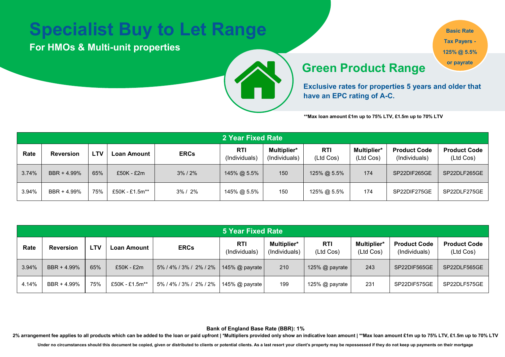## **Specialist Buy to Let Range**

**For HMOs & Multi-unit properties** 

**Basic Rate Tax Payers - 125% @ 5.5%** 

### **Green Product Range or payrate**

**Exclusive rates for properties 5 years and older that have an EPC rating of A-C.**

**\*\*Max loan amount £1m up to 75% LTV, £1.5m up to 70% LTV** 

|       | 2 Year Fixed Rate |            |                |               |                      |                              |                         |                          |                                      |                                  |  |  |
|-------|-------------------|------------|----------------|---------------|----------------------|------------------------------|-------------------------|--------------------------|--------------------------------------|----------------------------------|--|--|
| Rate  | <b>Reversion</b>  | <b>LTV</b> | -oan Amount    | <b>ERCs</b>   | RTI<br>(Individuals) | Multiplier*<br>(Individuals) | <b>RTI</b><br>(Ltd Cos) | Multiplier*<br>(Ltd Cos) | <b>Product Code</b><br>(Individuals) | <b>Product Code</b><br>(Ltd Cos) |  |  |
| 3.74% | BBR + 4.99%       | 65%        | $£50K - £2m$   | $3\%$ / $2\%$ | 145% @ 5.5%          | 150                          | 125% @ 5.5%             | 174                      | SP22DIF265GE                         | SP22DLF265GE                     |  |  |
| 3.94% | BBR + 4.99%       | 75%        | £50K - £1.5m** | $3\% / 2\%$   | 145% @ 5.5%          | 150                          | 125% @ 5.5%             | 174                      | SP22DIF275GE                         | SP22DLF275GE                     |  |  |

|       | <b>5 Year Fixed Rate</b>                                     |     |                |                        |                             |                              |                         |                                 |                                      |                                  |  |  |
|-------|--------------------------------------------------------------|-----|----------------|------------------------|-----------------------------|------------------------------|-------------------------|---------------------------------|--------------------------------------|----------------------------------|--|--|
| Rate  | <b>ERCs</b><br><b>LTV</b><br><b>Reversion</b><br>Loan Amount |     |                |                        | <b>RTI</b><br>(Individuals) | Multiplier*<br>(Individuals) | <b>RTI</b><br>(Ltd Cos) | <b>Multiplier*</b><br>(Ltd Cos) | <b>Product Code</b><br>(Individuals) | <b>Product Code</b><br>(Ltd Cos) |  |  |
| 3.94% | BBR + 4.99%                                                  | 65% | £50K - £2m     | 5% / 4% / 3% / 2% / 2% | 145% @ payrate              | 210                          | 125% @ payrate          | 243                             | SP22DIF565GE                         | SP22DLF565GE                     |  |  |
| 4.14% | BBR + 4.99%                                                  | 75% | £50K - £1.5m** | 5% / 4% / 3% / 2% / 2% | 145% $@$ payrate            | 199                          | 125% $@$ payrate        | 231                             | SP22DIF575GE                         | SP22DLF575GE                     |  |  |

**Bank of England Base Rate (BBR): 1%** 

**2% arrangement fee applies to all products which can be added to the loan or paid upfront | \*Multipliers provided only show an indicative loan amount | \*\*Max loan amount £1m up to 75% LTV, £1.5m up to 70% LTV** 

Under no circumstances should this document be copied, given or distributed to clients or potential clients. As a last resort your client's property may be repossessed if they do not keep up payments on their mortgage